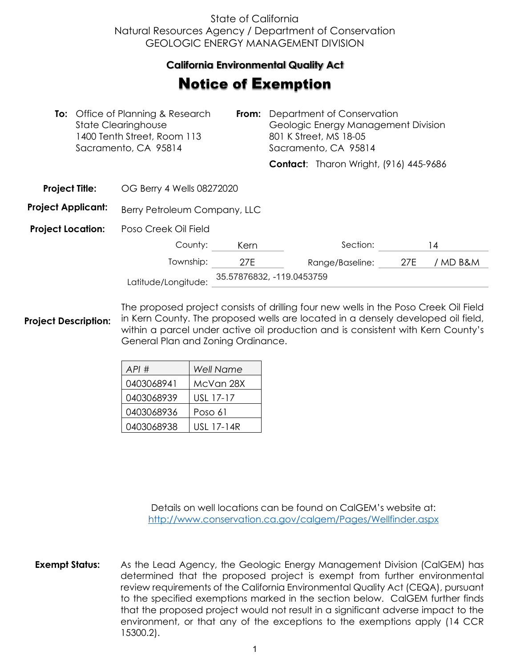## State of California Natural Resources Agency / Department of Conservation GEOLOGIC ENERGY MANAGEMENT DIVISION

## **California Environmental Quality Act**

## Notice of Exemption

|                           |  | <b>To:</b> Office of Planning & Research<br><b>State Clearinghouse</b><br>1400 Tenth Street, Room 113<br>Sacramento, CA 95814 | From:                     | Department of Conservation<br>Geologic Energy Management Division<br>801 K Street, MS 18-05<br>Sacramento, CA 95814 |                                               |     |          |
|---------------------------|--|-------------------------------------------------------------------------------------------------------------------------------|---------------------------|---------------------------------------------------------------------------------------------------------------------|-----------------------------------------------|-----|----------|
|                           |  |                                                                                                                               |                           |                                                                                                                     | <b>Contact:</b> Tharon Wright, (916) 445-9686 |     |          |
| <b>Project Title:</b>     |  | OG Berry 4 Wells 08272020                                                                                                     |                           |                                                                                                                     |                                               |     |          |
| <b>Project Applicant:</b> |  | Berry Petroleum Company, LLC                                                                                                  |                           |                                                                                                                     |                                               |     |          |
| <b>Project Location:</b>  |  | Poso Creek Oil Field                                                                                                          |                           |                                                                                                                     |                                               |     |          |
|                           |  | County:                                                                                                                       | Kern                      |                                                                                                                     | Section:                                      |     | 14       |
|                           |  | Township:                                                                                                                     | 27E                       |                                                                                                                     | Range/Baseline:                               | 27E | / MD B&M |
|                           |  | Latitude/Longitude:                                                                                                           | 35.57876832, -119.0453759 |                                                                                                                     |                                               |     |          |

**Project Description:** The proposed project consists of drilling four new wells in the Poso Creek Oil Field in Kern County. The proposed wells are located in a densely developed oil field, within a parcel under active oil production and is consistent with Kern County's General Plan and Zoning Ordinance.

| API#       | <b>Well Name</b> |
|------------|------------------|
| 0403068941 | McVan 28X        |
| 0403068939 | USL 17-17        |
| 0403068936 | Poso 61          |
| 0403068938 | USL 17-14R       |

Details on well locations can be found on CalGEM's website at: <http://www.conservation.ca.gov/calgem/Pages/Wellfinder.aspx>

**Exempt Status:** As the Lead Agency, the Geologic Energy Management Division (CalGEM) has determined that the proposed project is exempt from further environmental review requirements of the California Environmental Quality Act (CEQA), pursuant to the specified exemptions marked in the section below. CalGEM further finds that the proposed project would not result in a significant adverse impact to the environment, or that any of the exceptions to the exemptions apply (14 CCR 15300.2).